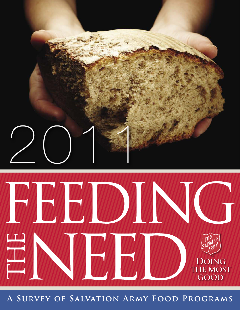

**A Survey of Salvation Army Food Programs**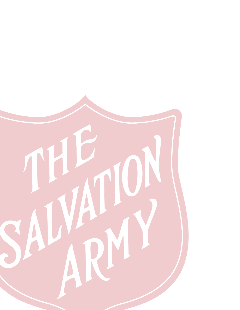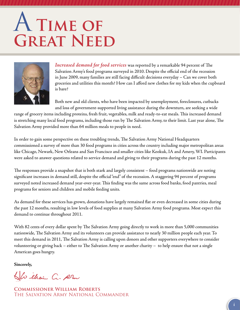### A **Time of GREAT NEED**



*Increased demand for food services* was reported by a remarkable 94 percent of The Salvation Army's food programs surveyed in 2010. Despite the official end of the recession in June 2009, many families are still facing difficult decisions everyday – Can we cover both groceries and utilities this month? How can I afford new clothes for my kids when the cupboard is bare?

Both new and old clients, who have been impacted by unemployment, foreclosures, cutbacks and loss of government-supported living assistance during the downturn, are seeking a wide

range of grocery items including proteins, fresh fruit, vegetables, milk and ready-to-eat meals. This increased demand is stretching many local food programs, including those run by The Salvation Army, to their limit. Last year alone, The Salvation Army provided more than 64 million meals to people in need.

In order to gain some perspective on these troubling trends, The Salvation Army National Headquarters commissioned a survey of more than 30 food programs in cities across the country including major metropolitan areas like Chicago, Newark, New Orleans and San Francisco and smaller cities like Keokuk, IA and Amery, WI. Participants were asked to answer questions related to service demand and giving to their programs during the past 12 months.

The responses provide a snapshot that is both stark and largely consistent – food programs nationwide are noting significant increases in demand still, despite the official "end" of the recession. A staggering 94 percent of programs surveyed noted increased demand year-over-year. This finding was the same across food banks, food pantries, meal programs for seniors and children and mobile feeding units.

As demand for these services has grown, donations have largely remained flat or even decreased in some cities during the past 12 months, resulting in low levels of food supplies at many Salvation Army food programs. Most expect this demand to continue throughout 2011.

With 82 cents of every dollar spent by The Salvation Army going directly to work in more than 5,000 communities nationwide, The Salvation Army and its volunteers can provide assistance to nearly 30 million people each year. To meet this demand in 2011, The Salvation Army is calling upon donors and other supporters everywhere to consider volunteering or giving back – either to The Salvation Army or another charity – to help ensure that not a single American goes hungry.

**Sincerely,**

She chain a. Am

**Commissioner William Roberts** The Salvation Army National Commander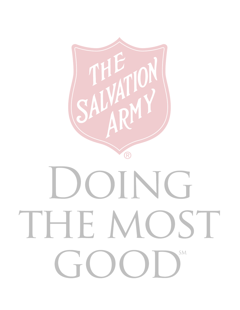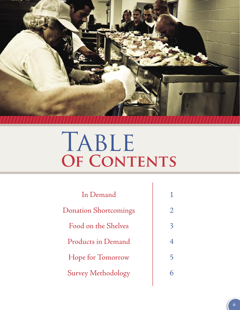

### TABLE OF CONTENTS

| In Demand                    |   |
|------------------------------|---|
| <b>Donation Shortcomings</b> | 2 |
| Food on the Shelves          |   |
| Products in Demand           |   |
| Hope for Tomorrow            |   |
| <b>Survey Methodology</b>    |   |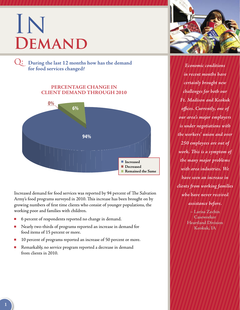### In **Demand**

Q: **During the last 12 months how has the demand**  Further and the same of the form of the services changed?<br> **Formally** *Economic conditions* 

#### **PERCENTAGE CHANGE IN CLIENT DEMAND THROUGH 2010**



Increased demand for food services was reported by 94 percent of The Salvation Army's food programs surveyed in 2010. This increase has been brought on by growing numbers of first time clients who consist of younger populations, the working poor and families with children.

- 6 percent of respondents reported no change in demand.
- Nearly two-thirds of programs reported an increase in demand for food items of 15 percent or more.
- 10 percent of programs reported an increase of 50 percent or more.
- Remarkably, no service program reported a decrease in demand from clients in 2010.



*in recent months have certainly brought new challenges for both our Ft. Madison and Keokuk offices. Currently, one of our area's major employers is under negotiations with the workers' union and over 250 employees are out of work. This is a symptom of the many major problems with area industries. We have seen an increase in clients from working families who have never received assistance before.*

> **– Larisa Zechin Caseworker Heartland Division Keokuk, IA**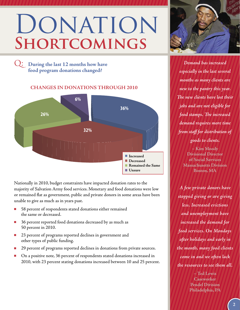## DONATION **Shortcomings**

Q: **During the last 12 months how have food program donations changed?** 

#### **CHANGES IN DONATIONS THROUGH 2010**



Nationally in 2010, budget constraints have impacted donation rates to the majority of Salvation Army food services. Monetary and food donations were low or remained flat as government, public and private donors in some areas have been unable to give as much as in years past.

- 58 percent of respondents stated donations either remained the same or decreased.
- 36 percent reported food donations decreased by as much as 50 percent in 2010.
- 23 percent of programs reported declines in government and other types of public funding.
- 29 percent of programs reported declines in donations from private sources.
- On a positive note, 36 percent of respondents stated donations increased in 2010, with 23 percent stating donations increased between 10 and 25 percent.



*Demand has increased especially in the last several months as many clients are new to the pantry this year. The new clients have lost their jobs and are not eligible for food stamps. The increased demand requires more time from staff for distribution of goods to clients.* 

> **– Kim Moody Divisional Director of Social Services Massachusetts Division Boston, MA**

*A few private donors have stopped giving or are giving less. Increased evictions and unemployment have increased the demand for food services. On Mondays after holidays and early in the month, many food clients come in and we often lack the resources to see them all.* 

> **– Ted Lewis Caseworker Pendel Division Philadelphia, PA**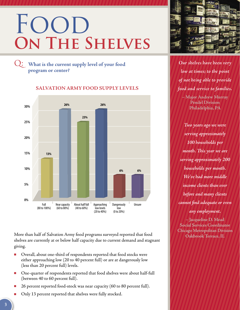# Food **On The Shelves**

Q: **What is the current supply level of your food program or center?**



#### **SALVATION ARMY FOOD SUPPLY LEVELS**

More than half of Salvation Army food programs surveyed reported that food shelves are currently at or below half capacity due to current demand and stagnant giving.

- Overall, about one-third of respondents reported that food stocks were either approaching low (20 to 40 percent full) or are at dangerously low (less than 20 percent full) levels.
- One-quarter of respondents reported that food shelves were about half-full (between 40 to 60 percent full).
- 26 percent reported food-stock was near capacity (60 to 80 percent full).
- Only 13 percent reported that shelves were fully stocked.



*Our shelves have been very low at times; to the point of not being able to provide food and service to families.*  **– Major Andrew Murray Pendel Division Philadelphia, PA**

*Two years ago we were serving approximately 100 households per month. This year we are serving approximately 200 households per month. We've had more middle income clients than ever before and many clients cannot find adequate or even any employment.* 

**– Jacqueline D. Mead Social Services Coordinator Chicago Metropolitan Division Oakbrook Terrace, IL**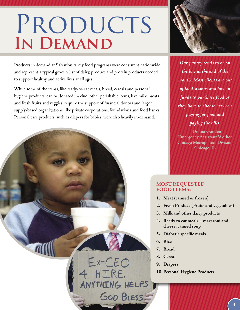## PRODUCTS **In Demand**

Products in demand at Salvation Army food programs were consistent nationwide and represent a typical grocery list of dairy, produce and protein products needed to support healthy and active lives at all ages.

While some of the items, like ready-to-eat meals, bread, cereals and personal hygiene products, can be donated in-kind, other perishable items, like milk, meats and fresh fruits and veggies, require the support of financial donors and larger supply-based organizations, like private corporations, foundations and food banks. Personal care products, such as diapers for babies, were also heavily in-demand.

Ex-CEO

ANYTHING HELPS.

GOD BLESS

4 HIRE.



*Our pantry tends to be on the low at the end of the month. Most clients are out of food stamps and low on funds to purchase food or they have to choose between paying for food and paying the bills.* 

**– Donna Gooden Emergency Assistant Worker Chicago Metropolitan Division Chicago, IL**

#### **MOST REQUESTED FOOD ITEMS:**

- **1. Meat (canned or frozen)**
- **2. Fresh Produce (Fruits and vegetables)**
- **3. Milk and other dairy products**
- **4. Ready to eat meals macaroni and cheese, canned soup**
- **5. Diabetic specific meals**
- **6. Rice**
- **7. Bread**
- **8. Cereal**
- **9. Diapers**
- **10. Personal Hygiene Products**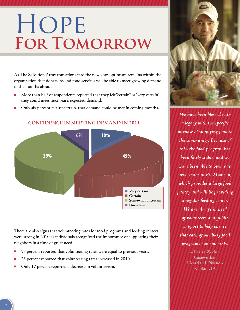## HOPE **For Tomorrow**

As The Salvation Army transitions into the new year, optimism remains within the organization that donations and food services will be able to meet growing demand in the months ahead.

- More than half of respondents reported that they felt "certain" or "very certain" they could meet next year's expected demand.
- Only six percent felt "uncertain" that demand could be met in coming months.



**CONFIDENCE IN MEETING DEMAND IN 2011**

There are also signs that volunteering rates for food programs and feeding centers were strong in 2010 as individuals recognized the importance of supporting their neighbors in a time of great need.

- 57 percent reported that volunteering rates were equal to previous years.
- 23 percent reported that volunteering rates increased in 2010.
- Only 17 percent reported a decrease in volunteerism.



*We have been blessed with a legacy with the specific purpose of supplying food to the community. Because of this, the food program has been fairly stable, and we have been able to open our new center in Ft. Madison, which provides a large food pantry and will be providing a regular feeding center. We are always in need of volunteers and public support to help ensure that each of our busy food programs run smoothly.* **– Larisa Zechin** 

**Caseworker Heartland Division Keokuk, IA**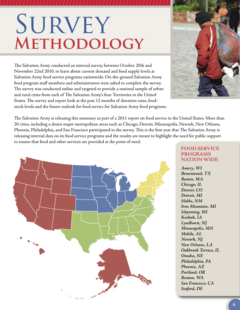### SURVEY **Methodology**

The Salvation Army conducted an internal survey, between October 20th and November 22nd 2010, to learn about current demand and food supply levels at Salvation Army food service programs nationwide. On-the-ground Salvation Army food program staff members and administrators were asked to complete the survey. The survey was conducted online and targeted to provide a national sample of urban and rural cities from each of The Salvation Army's four Territories in the United States. The survey and report look at the past 12 months of donation rates, foodstock levels and the future outlook for food service for Salvation Army food programs.



The Salvation Army is releasing this summary as part of a 2011 report on food service in the United States. More than 20 cities, including a dozen major metropolitan areas such as Chicago, Detroit, Minneapolis, Newark, New Orleans, Phoenix, Philadelphia, and San Francisco participated in the survey. This is the first year that The Salvation Army is releasing internal data on its food service programs and the results are meant to highlight the need for public support to ensure that food and other services are provided at the point of need.



#### **FOOD SERVICE PROGRAMS NATION-WIDE**

*Amery, WI Brownwood, TX Boston, MA Chicago, IL Denver, CO Detroit, MI Hobbs, NM Iron Mountain, MI Ishpeming, MI Keokuk, IA Lyndhurst, NJ Minneapolis, MN Mobile, AL Newark, NJ New Orleans, LA Oakbrook Terrace, IL Omaha, NE Philadelphia, PA Phoenix, AZ Portland, OR Renton, WA San Francisco, CA Seaford, DE*